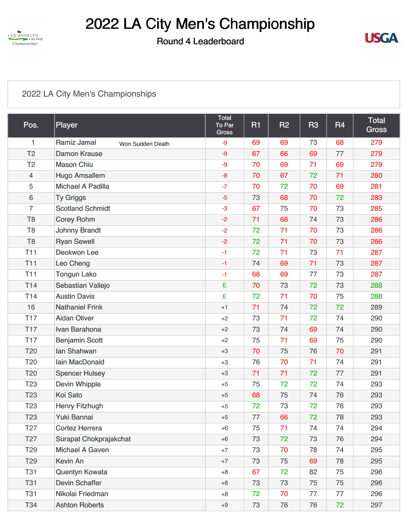

### Round 4 Leaderboard



#### [2022 LA City Men's Championships](https://static.golfgenius.com/v2tournaments/8547184512948251663?called_from=&round_index=4)

| Pos.            | Player                          | Total<br>To Par<br><b>Gross</b> | R1 | <b>R2</b> | <b>R3</b> | R <sub>4</sub> | <b>Total</b><br><b>Gross</b> |
|-----------------|---------------------------------|---------------------------------|----|-----------|-----------|----------------|------------------------------|
| $\mathbf{1}$    | Ramiz Jamal<br>Won Sudden Death | $-9$                            | 69 | 69        | 73        | 68             | 279                          |
| T <sub>2</sub>  | <b>Damon Krause</b>             | $-9$                            | 67 | 66        | 69        | 77             | 279                          |
| T <sub>2</sub>  | <b>Mason Chiu</b>               | -9                              | 70 | 69        | 71        | 69             | 279                          |
| $\overline{4}$  | <b>Hugo Amsallem</b>            | $-8$                            | 70 | 67        | 72        | 71             | 280                          |
| 5               | <b>Michael A Padilla</b>        | $-7$                            | 70 | 72        | 70        | 69             | 281                          |
| 6               | <b>Ty Griggs</b>                | $-5$                            | 73 | 68        | 70        | 72             | 283                          |
| 7               | <b>Scotland Schmidt</b>         | $-3$                            | 67 | 75        | 70        | 73             | 285                          |
| T <sub>8</sub>  | <b>Corey Rohm</b>               | $-2$                            | 71 | 68        | 74        | 73             | 286                          |
| T <sub>8</sub>  | <b>Johnny Brandt</b>            | $-2$                            | 72 | 71        | 70        | 73             | 286                          |
| T <sub>8</sub>  | <b>Ryan Sewell</b>              | $-2$                            | 72 | 71        | 70        | 73             | 286                          |
| T <sub>11</sub> | Deokwon Lee                     | $-1$                            | 72 | 71        | 73        | 71             | 287                          |
| <b>T11</b>      | Leo Cheng                       | $-1$                            | 74 | 69        | 71        | 73             | 287                          |
| <b>T11</b>      | <b>Tongun Lako</b>              | $-1$                            | 68 | 69        | 77        | 73             | 287                          |
| T <sub>14</sub> | Sebastian Vallejo               | E                               | 70 | 73        | 72        | 73             | 288                          |
| T <sub>14</sub> | <b>Austin Davis</b>             | E                               | 72 | 71        | 70        | 75             | 288                          |
| 16              | <b>Nathaniel Frink</b>          | $+1$                            | 71 | 74        | 72        | 72             | 289                          |
| <b>T17</b>      | <b>Aidan Oliver</b>             | $+2$                            | 73 | 71        | 72        | 74             | 290                          |
| <b>T17</b>      | Ivan Barahona                   | $+2$                            | 73 | 74        | 69        | 74             | 290                          |
| <b>T17</b>      | <b>Benjamin Scott</b>           | $+2$                            | 75 | 71        | 69        | 75             | 290                          |
| T20             | lan Shahwan                     | $+3$                            | 70 | 75        | 76        | 70             | 291                          |
| T20             | Iain MacDonald                  | $+3$                            | 76 | 70        | 71        | 74             | 291                          |
| T20             | <b>Spencer Hulsey</b>           | $+3$                            | 71 | 71        | 72        | 77             | 291                          |
| T <sub>23</sub> | <b>Devin Whipple</b>            | $+5$                            | 75 | 72        | 72        | 74             | 293                          |
| T <sub>23</sub> | Koi Sato                        | $+5$                            | 68 | 75        | 74        | 76             | 293                          |
| T <sub>23</sub> | <b>Henry Fitzhugh</b>           | $+5$                            | 72 | 73        | 72        | 76             | 293                          |
| T <sub>23</sub> | Yuki Bannai                     | $+5$                            | 77 | 66        | 72        | 78             | 293                          |
| T <sub>27</sub> | <b>Cortez Herrera</b>           | $+6$                            | 75 | 71        | 74        | 74             | 294                          |
| T <sub>27</sub> | <b>Surapat Chokprajakchat</b>   | $+6$                            | 73 | 72        | 73        | 76             | 294                          |
| T <sub>29</sub> | Michael A Gaven                 | $+7$                            | 73 | 70        | 78        | 74             | 295                          |
| T <sub>29</sub> | Kevin An                        | $+7$                            | 73 | 75        | 69        | 78             | 295                          |
| <b>T31</b>      | Quentyn Kowata                  | $+8$                            | 67 | 72        | 82        | 75             | 296                          |
| <b>T31</b>      | <b>Devin Schaffer</b>           | $+8$                            | 73 | 73        | 75        | 75             | 296                          |
| <b>T31</b>      | Nikolai Friedman                | $+8$                            | 72 | 70        | 77        | 77             | 296                          |
| T34             | <b>Ashton Roberts</b>           | $+9$                            | 73 | 76        | 76        | 72             | 297                          |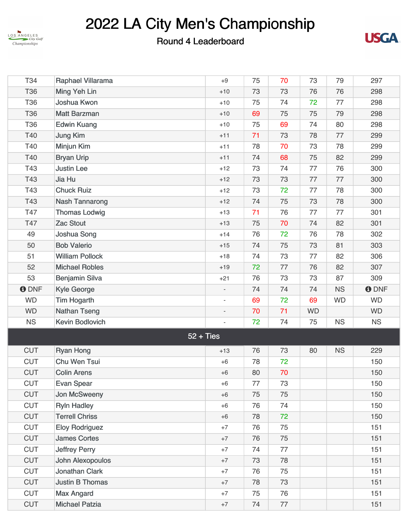



| T34         | Raphael Villarama      | $+9$                     | 75 | 70 | 73        | 79        | 297          |
|-------------|------------------------|--------------------------|----|----|-----------|-----------|--------------|
| <b>T36</b>  | Ming Yeh Lin           | $+10$                    | 73 | 73 | 76        | 76        | 298          |
| <b>T36</b>  | Joshua Kwon            | $+10$                    | 75 | 74 | 72        | 77        | 298          |
| <b>T36</b>  | <b>Matt Barzman</b>    | $+10$                    | 69 | 75 | 75        | 79        | 298          |
| <b>T36</b>  | <b>Edwin Kuang</b>     | $+10$                    | 75 | 69 | 74        | 80        | 298          |
| T40         | <b>Jung Kim</b>        | $+11$                    | 71 | 73 | 78        | 77        | 299          |
| T40         | Minjun Kim             | $+11$                    | 78 | 70 | 73        | 78        | 299          |
| T40         | <b>Bryan Urip</b>      | $+11$                    | 74 | 68 | 75        | 82        | 299          |
| T43         | <b>Justin Lee</b>      | $+12$                    | 73 | 74 | 77        | 76        | 300          |
| T43         | Jia Hu                 | $+12$                    | 73 | 73 | 77        | 77        | 300          |
| T43         | <b>Chuck Ruiz</b>      | $+12$                    | 73 | 72 | 77        | 78        | 300          |
| T43         | <b>Nash Tannarong</b>  | $+12$                    | 74 | 75 | 73        | 78        | 300          |
| T47         | <b>Thomas Lodwig</b>   | $+13$                    | 71 | 76 | 77        | 77        | 301          |
| T47         | Zac Stout              | $+13$                    | 75 | 70 | 74        | 82        | 301          |
| 49          | Joshua Song            | $+14$                    | 76 | 72 | 76        | 78        | 302          |
| 50          | <b>Bob Valerio</b>     | $+15$                    | 74 | 75 | 73        | 81        | 303          |
| 51          | <b>William Pollock</b> | $+18$                    | 74 | 73 | 77        | 82        | 306          |
| 52          | <b>Michael Robles</b>  | $+19$                    | 72 | 77 | 76        | 82        | 307          |
| 53          | <b>Benjamin Silva</b>  | $+21$                    | 76 | 73 | 73        | 87        | 309          |
| <b>ODNF</b> | <b>Kyle George</b>     |                          | 74 | 74 | 74        | <b>NS</b> | <b>O</b> DNF |
| <b>WD</b>   | <b>Tim Hogarth</b>     | $\overline{\phantom{a}}$ | 69 | 72 | 69        | <b>WD</b> | <b>WD</b>    |
| <b>WD</b>   | <b>Nathan Tseng</b>    | $\overline{\phantom{a}}$ | 70 | 71 | <b>WD</b> |           | <b>WD</b>    |
| <b>NS</b>   | <b>Kevin Bodlovich</b> |                          | 72 | 74 | 75        | <b>NS</b> | <b>NS</b>    |
|             |                        | $52 + Ties$              |    |    |           |           |              |
| <b>CUT</b>  | <b>Ryan Hong</b>       | $+13$                    | 76 | 73 | 80        | <b>NS</b> | 229          |
| <b>CUT</b>  | Chu Wen Tsui           | $+6$                     | 78 | 72 |           |           | 150          |
| <b>CUT</b>  | <b>Colin Arens</b>     | $+6$                     | 80 | 70 |           |           | 150          |
| <b>CUT</b>  | <b>Evan Spear</b>      | $+6$                     | 77 | 73 |           |           | 150          |
| <b>CUT</b>  | Jon McSweeny           | $+6$                     | 75 | 75 |           |           | 150          |
| <b>CUT</b>  | <b>Ryln Hadley</b>     | $+6$                     | 76 | 74 |           |           | 150          |
| <b>CUT</b>  | <b>Terrell Chriss</b>  | $+6$                     | 78 | 72 |           |           | 150          |
| <b>CUT</b>  | <b>Eloy Rodriguez</b>  | $+7$                     | 76 | 75 |           |           | 151          |
| <b>CUT</b>  | <b>James Cortes</b>    | $+7$                     | 76 | 75 |           |           | 151          |
| <b>CUT</b>  | <b>Jeffrey Perry</b>   | $+7$                     | 74 | 77 |           |           | 151          |
| <b>CUT</b>  | John Alexopoulos       | $+7$                     | 73 | 78 |           |           | 151          |
| <b>CUT</b>  | <b>Jonathan Clark</b>  | $+7$                     | 76 | 75 |           |           | 151          |
| <b>CUT</b>  | <b>Justin B Thomas</b> | $+7$                     | 78 | 73 |           |           | 151          |
| <b>CUT</b>  | <b>Max Angard</b>      | $+7$                     | 75 | 76 |           |           | 151          |
| <b>CUT</b>  | <b>Michael Patzia</b>  | $\rm +7$                 | 74 | 77 |           |           | 151          |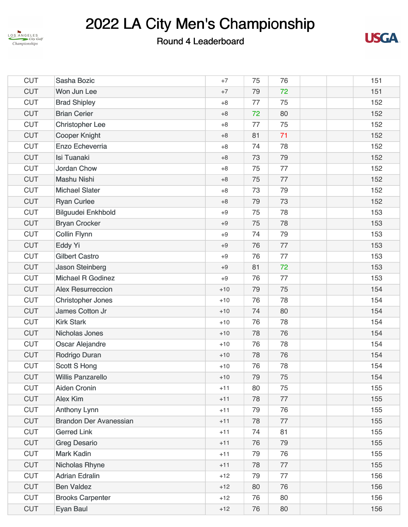



| <b>CUT</b> | Sasha Bozic                   | $+7$  | 75 | 76 |  | 151 |
|------------|-------------------------------|-------|----|----|--|-----|
| <b>CUT</b> | Won Jun Lee                   | $+7$  | 79 | 72 |  | 151 |
| <b>CUT</b> | <b>Brad Shipley</b>           | $+8$  | 77 | 75 |  | 152 |
| <b>CUT</b> | <b>Brian Cerier</b>           | $+8$  | 72 | 80 |  | 152 |
| <b>CUT</b> | <b>Christopher Lee</b>        | $+8$  | 77 | 75 |  | 152 |
| <b>CUT</b> | <b>Cooper Knight</b>          | $+8$  | 81 | 71 |  | 152 |
| <b>CUT</b> | Enzo Echeverria               | $+8$  | 74 | 78 |  | 152 |
| <b>CUT</b> | <b>Isi Tuanaki</b>            | $+8$  | 73 | 79 |  | 152 |
| <b>CUT</b> | <b>Jordan Chow</b>            | $+8$  | 75 | 77 |  | 152 |
| <b>CUT</b> | <b>Mashu Nishi</b>            | $+8$  | 75 | 77 |  | 152 |
| <b>CUT</b> | <b>Michael Slater</b>         | $+8$  | 73 | 79 |  | 152 |
| <b>CUT</b> | <b>Ryan Curlee</b>            | $+8$  | 79 | 73 |  | 152 |
| <b>CUT</b> | <b>Bilguudei Enkhbold</b>     | $+9$  | 75 | 78 |  | 153 |
| <b>CUT</b> | <b>Bryan Crocker</b>          | $+9$  | 75 | 78 |  | 153 |
| <b>CUT</b> | <b>Collin Flynn</b>           | $+9$  | 74 | 79 |  | 153 |
| <b>CUT</b> | <b>Eddy Yi</b>                | $+9$  | 76 | 77 |  | 153 |
| <b>CUT</b> | <b>Gilbert Castro</b>         | $+9$  | 76 | 77 |  | 153 |
| <b>CUT</b> | <b>Jason Steinberg</b>        | $+9$  | 81 | 72 |  | 153 |
| <b>CUT</b> | <b>Michael R Godinez</b>      | $+9$  | 76 | 77 |  | 153 |
| <b>CUT</b> | <b>Alex Resurreccion</b>      | $+10$ | 79 | 75 |  | 154 |
| <b>CUT</b> | <b>Christopher Jones</b>      | $+10$ | 76 | 78 |  | 154 |
| <b>CUT</b> | James Cotton Jr               | $+10$ | 74 | 80 |  | 154 |
| <b>CUT</b> | <b>Kirk Stark</b>             | $+10$ | 76 | 78 |  | 154 |
| <b>CUT</b> | <b>Nicholas Jones</b>         | $+10$ | 78 | 76 |  | 154 |
| <b>CUT</b> | <b>Oscar Alejandre</b>        | $+10$ | 76 | 78 |  | 154 |
| <b>CUT</b> | Rodrigo Duran                 | $+10$ | 78 | 76 |  | 154 |
| <b>CUT</b> | <b>Scott S Hong</b>           | $+10$ | 76 | 78 |  | 154 |
| <b>CUT</b> | <b>Willis Panzarello</b>      | $+10$ | 79 | 75 |  | 154 |
| <b>CUT</b> | <b>Aiden Cronin</b>           | $+11$ | 80 | 75 |  | 155 |
| <b>CUT</b> | <b>Alex Kim</b>               | $+11$ | 78 | 77 |  | 155 |
| <b>CUT</b> | <b>Anthony Lynn</b>           | $+11$ | 79 | 76 |  | 155 |
| <b>CUT</b> | <b>Brandon Der Avanessian</b> | $+11$ | 78 | 77 |  | 155 |
| <b>CUT</b> | <b>Gerred Link</b>            | $+11$ | 74 | 81 |  | 155 |
| <b>CUT</b> | <b>Greg Desario</b>           | $+11$ | 76 | 79 |  | 155 |
| <b>CUT</b> | <b>Mark Kadin</b>             | $+11$ | 79 | 76 |  | 155 |
| <b>CUT</b> | <b>Nicholas Rhyne</b>         | $+11$ | 78 | 77 |  | 155 |
| <b>CUT</b> | <b>Adrian Edralin</b>         | $+12$ | 79 | 77 |  | 156 |
| <b>CUT</b> | <b>Ben Valdez</b>             | $+12$ | 80 | 76 |  | 156 |
| <b>CUT</b> | <b>Brooks Carpenter</b>       | $+12$ | 76 | 80 |  | 156 |
| <b>CUT</b> | Eyan Baul                     | $+12$ | 76 | 80 |  | 156 |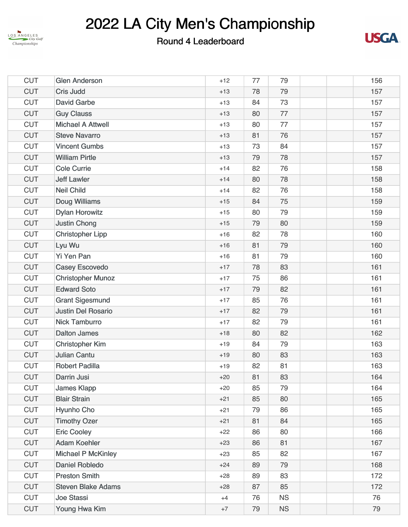



| <b>CUT</b> | <b>Glen Anderson</b>      | $+12$ | 77 | 79        |  | 156 |
|------------|---------------------------|-------|----|-----------|--|-----|
| <b>CUT</b> | <b>Cris Judd</b>          | $+13$ | 78 | 79        |  | 157 |
| <b>CUT</b> | <b>David Garbe</b>        | $+13$ | 84 | 73        |  | 157 |
| <b>CUT</b> | <b>Guy Clauss</b>         | $+13$ | 80 | 77        |  | 157 |
| <b>CUT</b> | <b>Michael A Attwell</b>  | $+13$ | 80 | 77        |  | 157 |
| <b>CUT</b> | <b>Steve Navarro</b>      | $+13$ | 81 | 76        |  | 157 |
| <b>CUT</b> | <b>Vincent Gumbs</b>      | $+13$ | 73 | 84        |  | 157 |
| <b>CUT</b> | <b>William Pirtle</b>     | $+13$ | 79 | 78        |  | 157 |
| <b>CUT</b> | <b>Cole Currie</b>        | $+14$ | 82 | 76        |  | 158 |
| <b>CUT</b> | <b>Jeff Lawler</b>        | $+14$ | 80 | 78        |  | 158 |
| <b>CUT</b> | <b>Neil Child</b>         | $+14$ | 82 | 76        |  | 158 |
| <b>CUT</b> | <b>Doug Williams</b>      | $+15$ | 84 | 75        |  | 159 |
| <b>CUT</b> | <b>Dylan Horowitz</b>     | $+15$ | 80 | 79        |  | 159 |
| <b>CUT</b> | <b>Justin Chong</b>       | $+15$ | 79 | 80        |  | 159 |
| <b>CUT</b> | <b>Christopher Lipp</b>   | $+16$ | 82 | 78        |  | 160 |
| <b>CUT</b> | Lyu Wu                    | $+16$ | 81 | 79        |  | 160 |
| <b>CUT</b> | <b>Yi Yen Pan</b>         | $+16$ | 81 | 79        |  | 160 |
| <b>CUT</b> | <b>Casey Escovedo</b>     | $+17$ | 78 | 83        |  | 161 |
| <b>CUT</b> | <b>Christopher Munoz</b>  | $+17$ | 75 | 86        |  | 161 |
| <b>CUT</b> | <b>Edward Soto</b>        | $+17$ | 79 | 82        |  | 161 |
| <b>CUT</b> | <b>Grant Sigesmund</b>    | $+17$ | 85 | 76        |  | 161 |
| <b>CUT</b> | <b>Justin Del Rosario</b> | $+17$ | 82 | 79        |  | 161 |
| <b>CUT</b> | <b>Nick Tamburro</b>      | $+17$ | 82 | 79        |  | 161 |
| <b>CUT</b> | <b>Dalton James</b>       | $+18$ | 80 | 82        |  | 162 |
| <b>CUT</b> | <b>Christopher Kim</b>    | $+19$ | 84 | 79        |  | 163 |
| <b>CUT</b> | <b>Julian Cantu</b>       | $+19$ | 80 | 83        |  | 163 |
| <b>CUT</b> | <b>Robert Padilla</b>     | $+19$ | 82 | 81        |  | 163 |
| <b>CUT</b> | Darrin Jusi               | $+20$ | 81 | 83        |  | 164 |
| <b>CUT</b> | <b>James Klapp</b>        | $+20$ | 85 | 79        |  | 164 |
| <b>CUT</b> | <b>Blair Strain</b>       | $+21$ | 85 | 80        |  | 165 |
| <b>CUT</b> | Hyunho Cho                | $+21$ | 79 | 86        |  | 165 |
| <b>CUT</b> | <b>Timothy Ozer</b>       | $+21$ | 81 | 84        |  | 165 |
| <b>CUT</b> | <b>Eric Cooley</b>        | $+22$ | 86 | 80        |  | 166 |
| <b>CUT</b> | <b>Adam Koehler</b>       | $+23$ | 86 | 81        |  | 167 |
| <b>CUT</b> | <b>Michael P McKinley</b> | $+23$ | 85 | 82        |  | 167 |
| <b>CUT</b> | <b>Daniel Robledo</b>     | $+24$ | 89 | 79        |  | 168 |
| <b>CUT</b> | <b>Preston Smith</b>      | $+28$ | 89 | 83        |  | 172 |
| <b>CUT</b> | <b>Steven Blake Adams</b> | $+28$ | 87 | 85        |  | 172 |
| <b>CUT</b> | Joe Stassi                | $+4$  | 76 | <b>NS</b> |  | 76  |
| <b>CUT</b> | Young Hwa Kim             | $+7$  | 79 | <b>NS</b> |  | 79  |